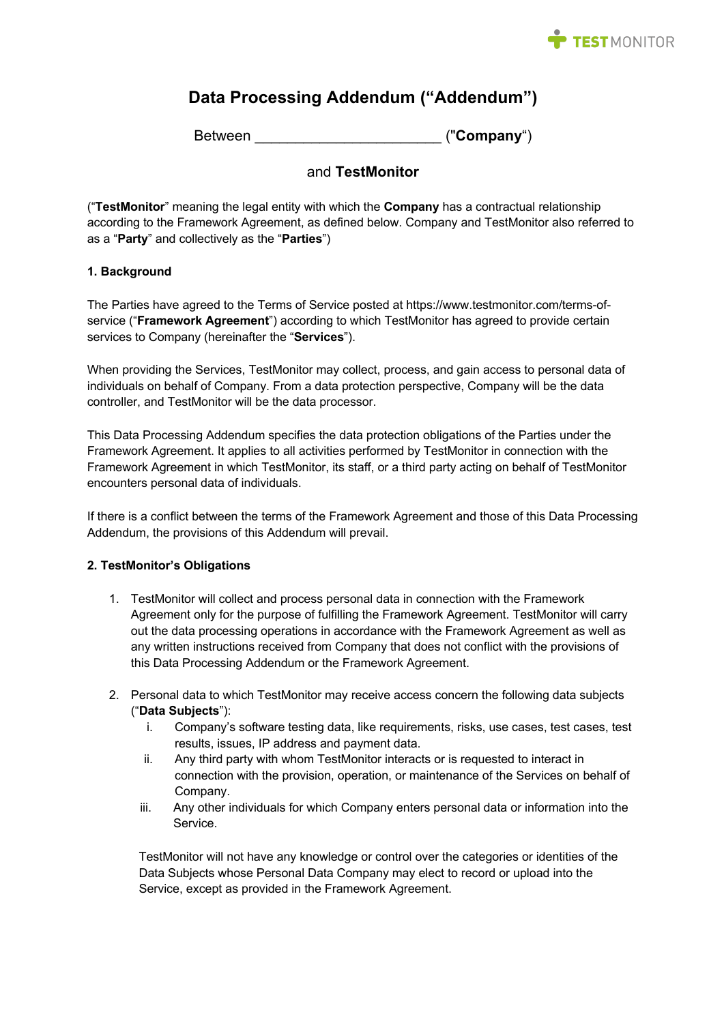

# **Data Processing Addendum ("Addendum")**

Between **Example 20** ("**Company**")

# and **TestMonitor**

("**TestMonitor**" meaning the legal entity with which the **Company** has a contractual relationship according to the Framework Agreement, as defined below. Company and TestMonitor also referred to as a "**Party**" and collectively as the "**Parties**")

# **1. Background**

The Parties have agreed to the Terms of Service posted at https://www.testmonitor.com/terms-ofservice ("**Framework Agreement**") according to which TestMonitor has agreed to provide certain services to Company (hereinafter the "**Services**").

When providing the Services, TestMonitor may collect, process, and gain access to personal data of individuals on behalf of Company. From a data protection perspective, Company will be the data controller, and TestMonitor will be the data processor.

This Data Processing Addendum specifies the data protection obligations of the Parties under the Framework Agreement. It applies to all activities performed by TestMonitor in connection with the Framework Agreement in which TestMonitor, its staff, or a third party acting on behalf of TestMonitor encounters personal data of individuals.

If there is a conflict between the terms of the Framework Agreement and those of this Data Processing Addendum, the provisions of this Addendum will prevail.

## **2. TestMonitor's Obligations**

- 1. TestMonitor will collect and process personal data in connection with the Framework Agreement only for the purpose of fulfilling the Framework Agreement. TestMonitor will carry out the data processing operations in accordance with the Framework Agreement as well as any written instructions received from Company that does not conflict with the provisions of this Data Processing Addendum or the Framework Agreement.
- 2. Personal data to which TestMonitor may receive access concern the following data subjects ("**Data Subjects**"):
	- i. Company's software testing data, like requirements, risks, use cases, test cases, test results, issues, IP address and payment data.
	- ii. Any third party with whom TestMonitor interacts or is requested to interact in connection with the provision, operation, or maintenance of the Services on behalf of Company.
	- iii. Any other individuals for which Company enters personal data or information into the Service.

TestMonitor will not have any knowledge or control over the categories or identities of the Data Subjects whose Personal Data Company may elect to record or upload into the Service, except as provided in the Framework Agreement.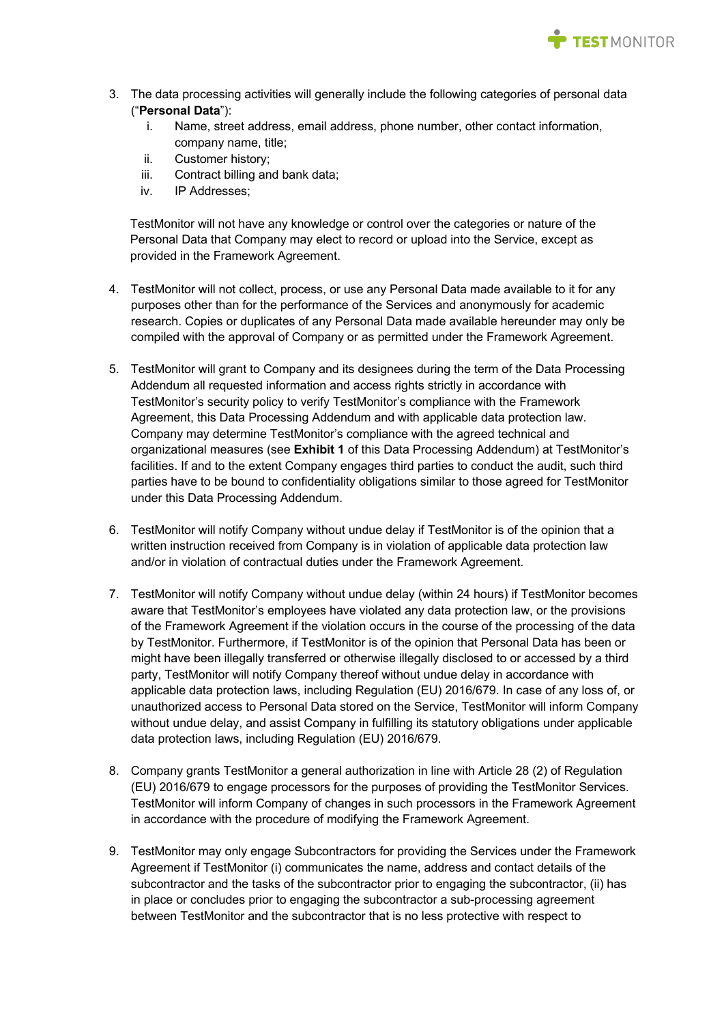

- 3. The data processing activities will generally include the following categories of personal data ("**Personal Data**"):
	- i. Name, street address, email address, phone number, other contact information, company name, title;
	- ii. Customer history;
	- iii. Contract billing and bank data;
	- iv. IP Addresses;

TestMonitor will not have any knowledge or control over the categories or nature of the Personal Data that Company may elect to record or upload into the Service, except as provided in the Framework Agreement.

- 4. TestMonitor will not collect, process, or use any Personal Data made available to it for any purposes other than for the performance of the Services and anonymously for academic research. Copies or duplicates of any Personal Data made available hereunder may only be compiled with the approval of Company or as permitted under the Framework Agreement.
- 5. TestMonitor will grant to Company and its designees during the term of the Data Processing Addendum all requested information and access rights strictly in accordance with TestMonitor's security policy to verify TestMonitor's compliance with the Framework Agreement, this Data Processing Addendum and with applicable data protection law. Company may determine TestMonitor's compliance with the agreed technical and organizational measures (see **Exhibit 1** of this Data Processing Addendum) at TestMonitor's facilities. If and to the extent Company engages third parties to conduct the audit, such third parties have to be bound to confidentiality obligations similar to those agreed for TestMonitor under this Data Processing Addendum.
- 6. TestMonitor will notify Company without undue delay if TestMonitor is of the opinion that a written instruction received from Company is in violation of applicable data protection law and/or in violation of contractual duties under the Framework Agreement.
- 7. TestMonitor will notify Company without undue delay (within 24 hours) if TestMonitor becomes aware that TestMonitor's employees have violated any data protection law, or the provisions of the Framework Agreement if the violation occurs in the course of the processing of the data by TestMonitor. Furthermore, if TestMonitor is of the opinion that Personal Data has been or might have been illegally transferred or otherwise illegally disclosed to or accessed by a third party, TestMonitor will notify Company thereof without undue delay in accordance with applicable data protection laws, including Regulation (EU) 2016/679. In case of any loss of, or unauthorized access to Personal Data stored on the Service, TestMonitor will inform Company without undue delay, and assist Company in fulfilling its statutory obligations under applicable data protection laws, including Regulation (EU) 2016/679.
- 8. Company grants TestMonitor a general authorization in line with Article 28 (2) of Regulation (EU) 2016/679 to engage processors for the purposes of providing the TestMonitor Services. TestMonitor will inform Company of changes in such processors in the Framework Agreement in accordance with the procedure of modifying the Framework Agreement.
- 9. TestMonitor may only engage Subcontractors for providing the Services under the Framework Agreement if TestMonitor (i) communicates the name, address and contact details of the subcontractor and the tasks of the subcontractor prior to engaging the subcontractor, (ii) has in place or concludes prior to engaging the subcontractor a sub-processing agreement between TestMonitor and the subcontractor that is no less protective with respect to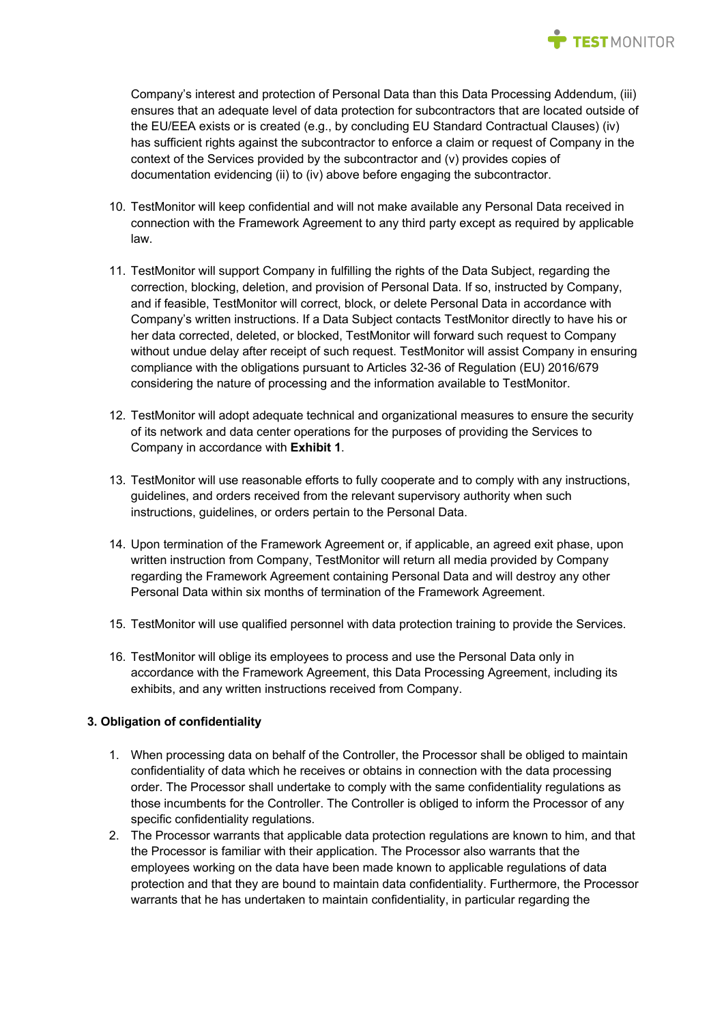

Company's interest and protection of Personal Data than this Data Processing Addendum, (iii) ensures that an adequate level of data protection for subcontractors that are located outside of the EU/EEA exists or is created (e.g., by concluding EU Standard Contractual Clauses) (iv) has sufficient rights against the subcontractor to enforce a claim or request of Company in the context of the Services provided by the subcontractor and (v) provides copies of documentation evidencing (ii) to (iv) above before engaging the subcontractor.

- 10. TestMonitor will keep confidential and will not make available any Personal Data received in connection with the Framework Agreement to any third party except as required by applicable law.
- 11. TestMonitor will support Company in fulfilling the rights of the Data Subject, regarding the correction, blocking, deletion, and provision of Personal Data. If so, instructed by Company, and if feasible, TestMonitor will correct, block, or delete Personal Data in accordance with Company's written instructions. If a Data Subject contacts TestMonitor directly to have his or her data corrected, deleted, or blocked, TestMonitor will forward such request to Company without undue delay after receipt of such request. TestMonitor will assist Company in ensuring compliance with the obligations pursuant to Articles 32-36 of Regulation (EU) 2016/679 considering the nature of processing and the information available to TestMonitor.
- 12. TestMonitor will adopt adequate technical and organizational measures to ensure the security of its network and data center operations for the purposes of providing the Services to Company in accordance with **Exhibit 1**.
- 13. TestMonitor will use reasonable efforts to fully cooperate and to comply with any instructions, guidelines, and orders received from the relevant supervisory authority when such instructions, guidelines, or orders pertain to the Personal Data.
- 14. Upon termination of the Framework Agreement or, if applicable, an agreed exit phase, upon written instruction from Company, TestMonitor will return all media provided by Company regarding the Framework Agreement containing Personal Data and will destroy any other Personal Data within six months of termination of the Framework Agreement.
- 15. TestMonitor will use qualified personnel with data protection training to provide the Services.
- 16. TestMonitor will oblige its employees to process and use the Personal Data only in accordance with the Framework Agreement, this Data Processing Agreement, including its exhibits, and any written instructions received from Company.

## **3. Obligation of confidentiality**

- 1. When processing data on behalf of the Controller, the Processor shall be obliged to maintain confidentiality of data which he receives or obtains in connection with the data processing order. The Processor shall undertake to comply with the same confidentiality regulations as those incumbents for the Controller. The Controller is obliged to inform the Processor of any specific confidentiality regulations.
- 2. The Processor warrants that applicable data protection regulations are known to him, and that the Processor is familiar with their application. The Processor also warrants that the employees working on the data have been made known to applicable regulations of data protection and that they are bound to maintain data confidentiality. Furthermore, the Processor warrants that he has undertaken to maintain confidentiality, in particular regarding the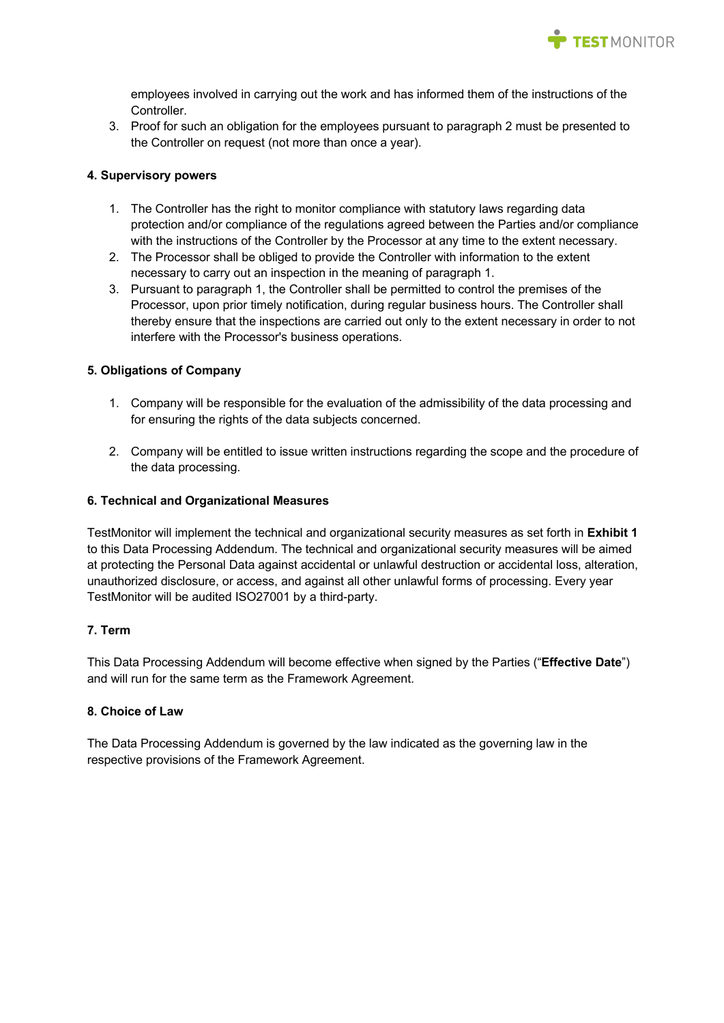

employees involved in carrying out the work and has informed them of the instructions of the Controller.

3. Proof for such an obligation for the employees pursuant to paragraph 2 must be presented to the Controller on request (not more than once a year).

## **4. Supervisory powers**

- 1. The Controller has the right to monitor compliance with statutory laws regarding data protection and/or compliance of the regulations agreed between the Parties and/or compliance with the instructions of the Controller by the Processor at any time to the extent necessary.
- 2. The Processor shall be obliged to provide the Controller with information to the extent necessary to carry out an inspection in the meaning of paragraph 1.
- 3. Pursuant to paragraph 1, the Controller shall be permitted to control the premises of the Processor, upon prior timely notification, during regular business hours. The Controller shall thereby ensure that the inspections are carried out only to the extent necessary in order to not interfere with the Processor's business operations.

#### **5. Obligations of Company**

- 1. Company will be responsible for the evaluation of the admissibility of the data processing and for ensuring the rights of the data subjects concerned.
- 2. Company will be entitled to issue written instructions regarding the scope and the procedure of the data processing.

#### **6. Technical and Organizational Measures**

TestMonitor will implement the technical and organizational security measures as set forth in **Exhibit 1**  to this Data Processing Addendum. The technical and organizational security measures will be aimed at protecting the Personal Data against accidental or unlawful destruction or accidental loss, alteration, unauthorized disclosure, or access, and against all other unlawful forms of processing. Every year TestMonitor will be audited ISO27001 by a third-party.

## **7. Term**

This Data Processing Addendum will become effective when signed by the Parties ("**Effective Date**") and will run for the same term as the Framework Agreement.

# **8. Choice of Law**

The Data Processing Addendum is governed by the law indicated as the governing law in the respective provisions of the Framework Agreement.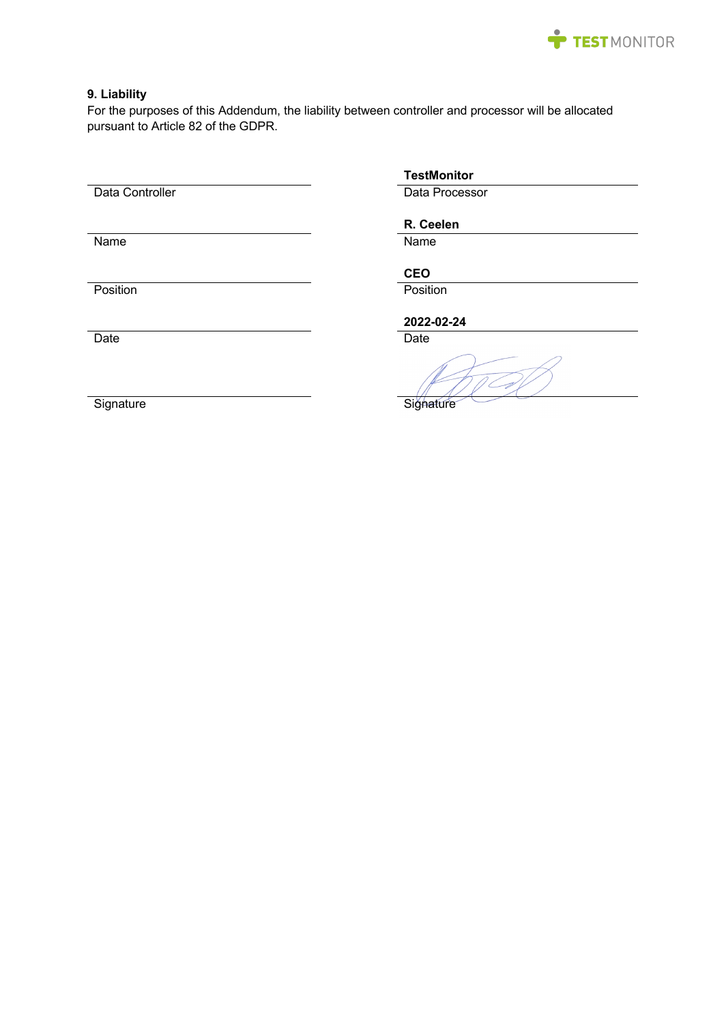

# **9. Liability**

For the purposes of this Addendum, the liability between controller and processor will be allocated pursuant to Article 82 of the GDPR.

Data Controller Data Processor

Name Name

**TestMonitor**

# **R. Ceelen**

**CEO**

Position **Position** Position

**2022-02-24**

Date **Date Date Date Date Date Date** 

Signature Signature Signature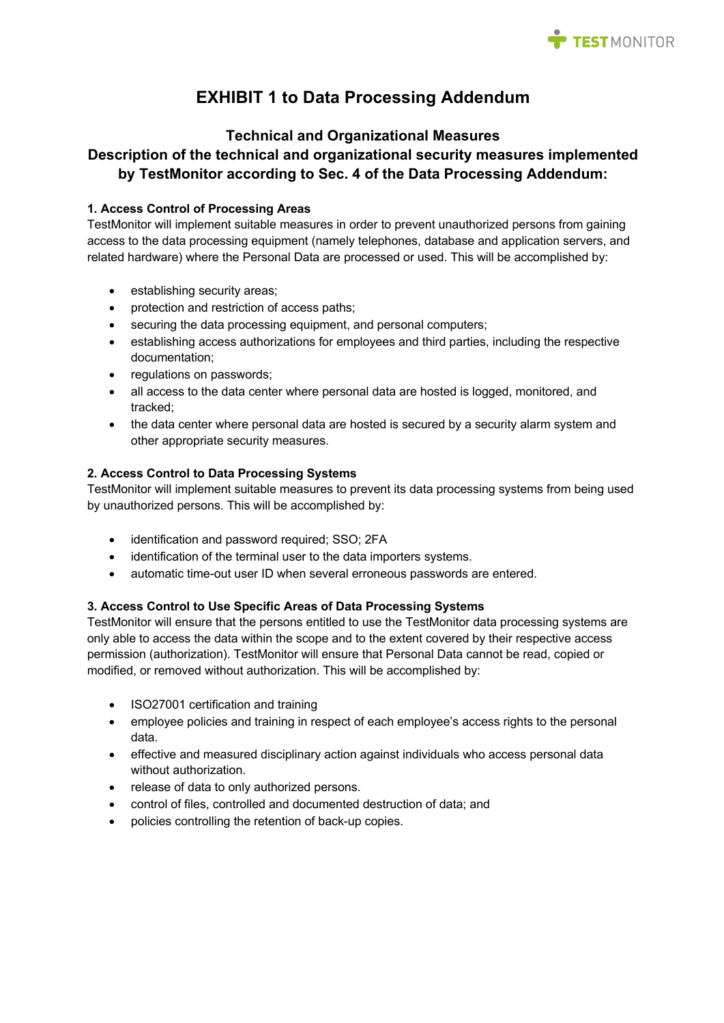

# **EXHIBIT 1 to Data Processing Addendum**

# **Technical and Organizational Measures**

# **Description of the technical and organizational security measures implemented by TestMonitor according to Sec. 4 of the Data Processing Addendum:**

# **1. Access Control of Processing Areas**

TestMonitor will implement suitable measures in order to prevent unauthorized persons from gaining access to the data processing equipment (namely telephones, database and application servers, and related hardware) where the Personal Data are processed or used. This will be accomplished by:

- establishing security areas;
- protection and restriction of access paths;
- securing the data processing equipment, and personal computers;
- establishing access authorizations for employees and third parties, including the respective documentation;
- regulations on passwords;
- all access to the data center where personal data are hosted is logged, monitored, and tracked;
- the data center where personal data are hosted is secured by a security alarm system and other appropriate security measures.

# **2. Access Control to Data Processing Systems**

TestMonitor will implement suitable measures to prevent its data processing systems from being used by unauthorized persons. This will be accomplished by:

- identification and password required; SSO; 2FA
- identification of the terminal user to the data importers systems.
- automatic time-out user ID when several erroneous passwords are entered.

## **3. Access Control to Use Specific Areas of Data Processing Systems**

TestMonitor will ensure that the persons entitled to use the TestMonitor data processing systems are only able to access the data within the scope and to the extent covered by their respective access permission (authorization). TestMonitor will ensure that Personal Data cannot be read, copied or modified, or removed without authorization. This will be accomplished by:

- ISO27001 certification and training
- employee policies and training in respect of each employee's access rights to the personal data.
- effective and measured disciplinary action against individuals who access personal data without authorization.
- release of data to only authorized persons.
- control of files, controlled and documented destruction of data; and
- policies controlling the retention of back-up copies.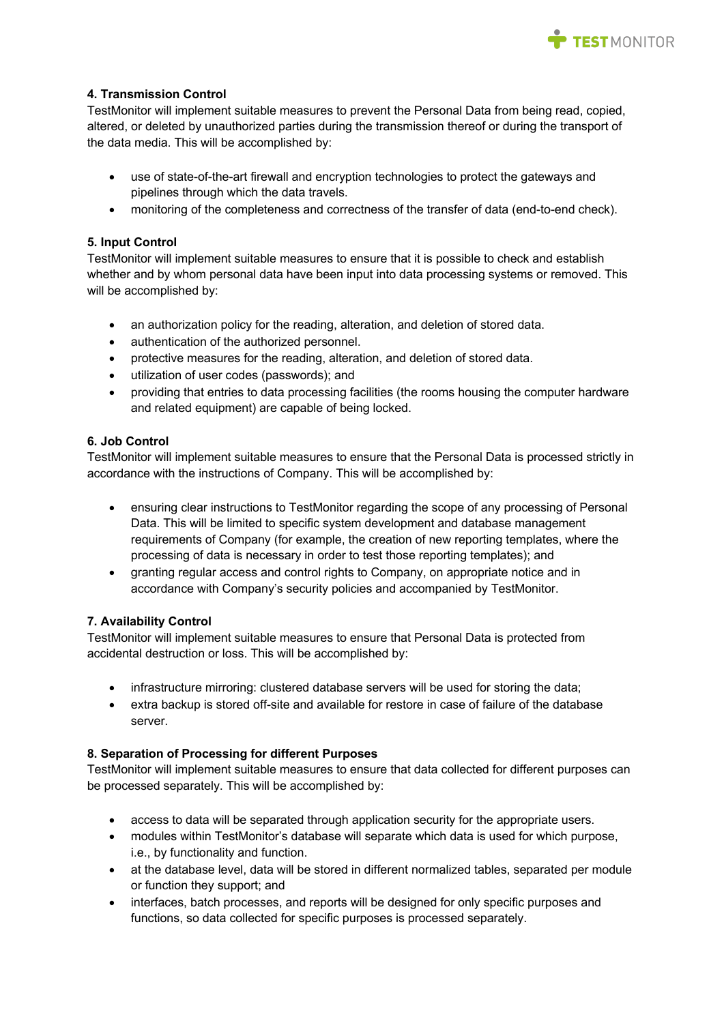

# **4. Transmission Control**

TestMonitor will implement suitable measures to prevent the Personal Data from being read, copied, altered, or deleted by unauthorized parties during the transmission thereof or during the transport of the data media. This will be accomplished by:

- use of state-of-the-art firewall and encryption technologies to protect the gateways and pipelines through which the data travels.
- monitoring of the completeness and correctness of the transfer of data (end-to-end check).

## **5. Input Control**

TestMonitor will implement suitable measures to ensure that it is possible to check and establish whether and by whom personal data have been input into data processing systems or removed. This will be accomplished by:

- an authorization policy for the reading, alteration, and deletion of stored data.
- authentication of the authorized personnel.
- protective measures for the reading, alteration, and deletion of stored data.
- utilization of user codes (passwords); and
- providing that entries to data processing facilities (the rooms housing the computer hardware and related equipment) are capable of being locked.

## **6. Job Control**

TestMonitor will implement suitable measures to ensure that the Personal Data is processed strictly in accordance with the instructions of Company. This will be accomplished by:

- ensuring clear instructions to TestMonitor regarding the scope of any processing of Personal Data. This will be limited to specific system development and database management requirements of Company (for example, the creation of new reporting templates, where the processing of data is necessary in order to test those reporting templates); and
- granting regular access and control rights to Company, on appropriate notice and in accordance with Company's security policies and accompanied by TestMonitor.

## **7. Availability Control**

TestMonitor will implement suitable measures to ensure that Personal Data is protected from accidental destruction or loss. This will be accomplished by:

- infrastructure mirroring: clustered database servers will be used for storing the data;
- extra backup is stored off-site and available for restore in case of failure of the database server.

## **8. Separation of Processing for different Purposes**

TestMonitor will implement suitable measures to ensure that data collected for different purposes can be processed separately. This will be accomplished by:

- access to data will be separated through application security for the appropriate users.
- modules within TestMonitor's database will separate which data is used for which purpose, i.e., by functionality and function.
- at the database level, data will be stored in different normalized tables, separated per module or function they support; and
- interfaces, batch processes, and reports will be designed for only specific purposes and functions, so data collected for specific purposes is processed separately.